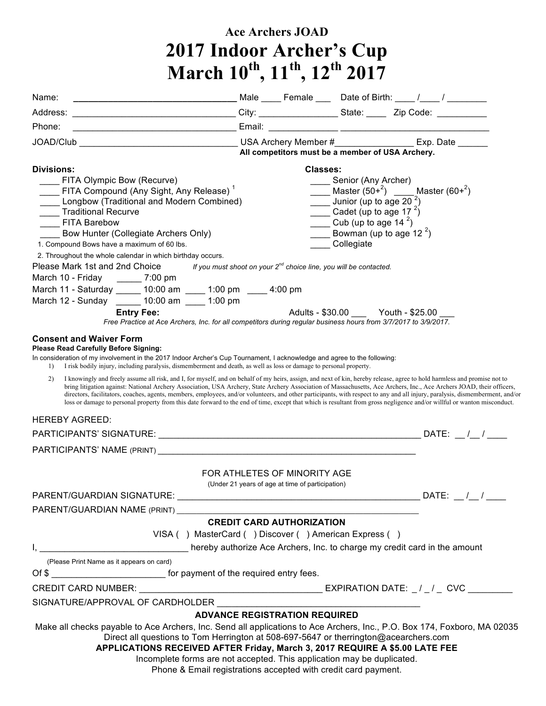## **Ace Archers JOAD 2017 Indoor Archer's Cup March 10th , 11th , 12th 2017**

| Name:                                                                                                                                                                                                                                                                                                                                                                                                                                                                                                                                                                                                                                                                                                                |  |                                                                        |                                                                                       |  |  |
|----------------------------------------------------------------------------------------------------------------------------------------------------------------------------------------------------------------------------------------------------------------------------------------------------------------------------------------------------------------------------------------------------------------------------------------------------------------------------------------------------------------------------------------------------------------------------------------------------------------------------------------------------------------------------------------------------------------------|--|------------------------------------------------------------------------|---------------------------------------------------------------------------------------|--|--|
|                                                                                                                                                                                                                                                                                                                                                                                                                                                                                                                                                                                                                                                                                                                      |  |                                                                        |                                                                                       |  |  |
| Phone:<br><u> 1980 - Johann Barbara, martxa alemaniar a</u>                                                                                                                                                                                                                                                                                                                                                                                                                                                                                                                                                                                                                                                          |  |                                                                        |                                                                                       |  |  |
|                                                                                                                                                                                                                                                                                                                                                                                                                                                                                                                                                                                                                                                                                                                      |  |                                                                        |                                                                                       |  |  |
|                                                                                                                                                                                                                                                                                                                                                                                                                                                                                                                                                                                                                                                                                                                      |  | All competitors must be a member of USA Archery.                       |                                                                                       |  |  |
| <b>Divisions:</b><br>FITA Olympic Bow (Recurve)                                                                                                                                                                                                                                                                                                                                                                                                                                                                                                                                                                                                                                                                      |  | <b>Classes:</b>                                                        | Senior (Any Archer)                                                                   |  |  |
| FITA Compound (Any Sight, Any Release) <sup>1</sup><br>Longbow (Traditional and Modern Combined)                                                                                                                                                                                                                                                                                                                                                                                                                                                                                                                                                                                                                     |  |                                                                        | <b>Master</b> $(50+^2)$ <b>Master</b> $(60+^2)$<br>Junior (up to age $202$ )          |  |  |
| ____ Traditional Recurve<br>FITA Barebow                                                                                                                                                                                                                                                                                                                                                                                                                                                                                                                                                                                                                                                                             |  |                                                                        | Cadet (up to age 17 $^{2}$ )<br>$\frac{1}{\sqrt{2}}$ Cub (up to age 14 <sup>2</sup> ) |  |  |
| Bow Hunter (Collegiate Archers Only)                                                                                                                                                                                                                                                                                                                                                                                                                                                                                                                                                                                                                                                                                 |  |                                                                        | <b>EXECUTE:</b> Bowman (up to age 12 <sup>2</sup> )                                   |  |  |
| 1. Compound Bows have a maximum of 60 lbs.                                                                                                                                                                                                                                                                                                                                                                                                                                                                                                                                                                                                                                                                           |  |                                                                        | _____ Collegiate                                                                      |  |  |
| 2. Throughout the whole calendar in which birthday occurs.                                                                                                                                                                                                                                                                                                                                                                                                                                                                                                                                                                                                                                                           |  |                                                                        |                                                                                       |  |  |
| Please Mark 1st and 2nd Choice                                                                                                                                                                                                                                                                                                                                                                                                                                                                                                                                                                                                                                                                                       |  | If you must shoot on your $2^{nd}$ choice line, you will be contacted. |                                                                                       |  |  |
| March 10 - Friday ________ 7:00 pm                                                                                                                                                                                                                                                                                                                                                                                                                                                                                                                                                                                                                                                                                   |  |                                                                        |                                                                                       |  |  |
| March 11 - Saturday ______ 10:00 am ____ 1:00 pm ____ 4:00 pm                                                                                                                                                                                                                                                                                                                                                                                                                                                                                                                                                                                                                                                        |  |                                                                        |                                                                                       |  |  |
| March 12 - Sunday ______ 10:00 am ____ 1:00 pm                                                                                                                                                                                                                                                                                                                                                                                                                                                                                                                                                                                                                                                                       |  |                                                                        |                                                                                       |  |  |
| <b>Entry Fee:</b><br>Free Practice at Ace Archers, Inc. for all competitors during regular business hours from 3/7/2017 to 3/9/2017.                                                                                                                                                                                                                                                                                                                                                                                                                                                                                                                                                                                 |  |                                                                        | Adults - \$30.00 Youth - \$25.00                                                      |  |  |
| <b>Consent and Waiver Form</b><br>Please Read Carefully Before Signing:<br>In consideration of my involvement in the 2017 Indoor Archer's Cup Tournament, I acknowledge and agree to the following:<br>I risk bodily injury, including paralysis, dismemberment and death, as well as loss or damage to personal property.                                                                                                                                                                                                                                                                                                                                                                                           |  |                                                                        |                                                                                       |  |  |
| I knowingly and freely assume all risk, and I, for myself, and on behalf of my heirs, assign, and next of kin, hereby release, agree to hold harmless and promise not to<br>2)<br>bring litigation against: National Archery Association, USA Archery, State Archery Association of Massachusetts, Ace Archers, Inc., Ace Archers JOAD, their officers,<br>directors, facilitators, coaches, agents, members, employees, and/or volunteers, and other participants, with respect to any and all injury, paralysis, dismemberment, and/or<br>loss or damage to personal property from this date forward to the end of time, except that which is resultant from gross negligence and/or willful or wanton misconduct. |  |                                                                        |                                                                                       |  |  |
| <b>HEREBY AGREED:</b>                                                                                                                                                                                                                                                                                                                                                                                                                                                                                                                                                                                                                                                                                                |  |                                                                        |                                                                                       |  |  |
|                                                                                                                                                                                                                                                                                                                                                                                                                                                                                                                                                                                                                                                                                                                      |  |                                                                        |                                                                                       |  |  |
| PARTICIPANTS' NAME (PRINT) LAND AND THE CONTROL OF THE CONTROL OF THE CONTROL OF THE CONTROL OF THE CONTROL OF THE CONTROL OF THE CONTROL OF THE CONTROL OF THE CONTROL OF THE CONTROL OF THE CONTROL OF THE CONTROL OF THE CO                                                                                                                                                                                                                                                                                                                                                                                                                                                                                       |  |                                                                        |                                                                                       |  |  |
| FOR ATHLETES OF MINORITY AGE<br>(Under 21 years of age at time of participation)                                                                                                                                                                                                                                                                                                                                                                                                                                                                                                                                                                                                                                     |  |                                                                        |                                                                                       |  |  |
|                                                                                                                                                                                                                                                                                                                                                                                                                                                                                                                                                                                                                                                                                                                      |  |                                                                        |                                                                                       |  |  |
| PARENT/GUARDIAN NAME (PRINT)                                                                                                                                                                                                                                                                                                                                                                                                                                                                                                                                                                                                                                                                                         |  |                                                                        |                                                                                       |  |  |
| <b>CREDIT CARD AUTHORIZATION</b>                                                                                                                                                                                                                                                                                                                                                                                                                                                                                                                                                                                                                                                                                     |  |                                                                        |                                                                                       |  |  |
| VISA () MasterCard () Discover () American Express ()                                                                                                                                                                                                                                                                                                                                                                                                                                                                                                                                                                                                                                                                |  |                                                                        |                                                                                       |  |  |
|                                                                                                                                                                                                                                                                                                                                                                                                                                                                                                                                                                                                                                                                                                                      |  |                                                                        |                                                                                       |  |  |
| (Please Print Name as it appears on card)                                                                                                                                                                                                                                                                                                                                                                                                                                                                                                                                                                                                                                                                            |  |                                                                        |                                                                                       |  |  |
| Of \$                                                                                                                                                                                                                                                                                                                                                                                                                                                                                                                                                                                                                                                                                                                |  |                                                                        |                                                                                       |  |  |
| CREDIT CARD NUMBER: $\_\_$                                                                                                                                                                                                                                                                                                                                                                                                                                                                                                                                                                                                                                                                                           |  |                                                                        |                                                                                       |  |  |
| SIGNATURE/APPROVAL OF CARDHOLDER                                                                                                                                                                                                                                                                                                                                                                                                                                                                                                                                                                                                                                                                                     |  |                                                                        |                                                                                       |  |  |
| <b>ADVANCE REGISTRATION REQUIRED</b>                                                                                                                                                                                                                                                                                                                                                                                                                                                                                                                                                                                                                                                                                 |  |                                                                        |                                                                                       |  |  |
| Make all checks payable to Ace Archers, Inc. Send all applications to Ace Archers, Inc., P.O. Box 174, Foxboro, MA 02035<br>Direct all questions to Tom Herrington at 508-697-5647 or therrington@acearchers.com<br>APPLICATIONS RECEIVED AFTER Friday, March 3, 2017 REQUIRE A \$5.00 LATE FEE                                                                                                                                                                                                                                                                                                                                                                                                                      |  |                                                                        |                                                                                       |  |  |
| Incomplete forms are not accepted. This application may be duplicated.<br>Phone & Email registrations accepted with credit card payment.                                                                                                                                                                                                                                                                                                                                                                                                                                                                                                                                                                             |  |                                                                        |                                                                                       |  |  |